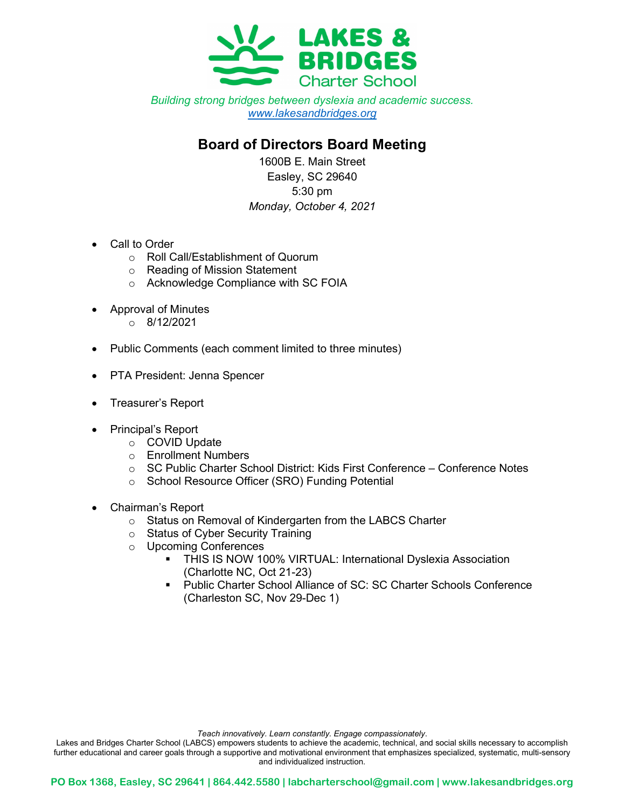

Building strong bridges between dyslexia and academic success. www.lakesandbridges.org

## Board of Directors Board Meeting

1600B E. Main Street Easley, SC 29640 5:30 pm Monday, October 4, 2021

- Call to Order
	- o Roll Call/Establishment of Quorum
	- o Reading of Mission Statement
	- o Acknowledge Compliance with SC FOIA
- Approval of Minutes
	- o 8/12/2021
- Public Comments (each comment limited to three minutes)
- PTA President: Jenna Spencer
- Treasurer's Report
- Principal's Report
	- o COVID Update
	- o Enrollment Numbers
	- o SC Public Charter School District: Kids First Conference Conference Notes
	- o School Resource Officer (SRO) Funding Potential
- Chairman's Report
	- o Status on Removal of Kindergarten from the LABCS Charter
	- o Status of Cyber Security Training
	- o Upcoming Conferences
		- **THIS IS NOW 100% VIRTUAL: International Dyslexia Association** (Charlotte NC, Oct 21-23)
		- Public Charter School Alliance of SC: SC Charter Schools Conference (Charleston SC, Nov 29-Dec 1)

Teach innovatively. Learn constantly. Engage compassionately.

Lakes and Bridges Charter School (LABCS) empowers students to achieve the academic, technical, and social skills necessary to accomplish further educational and career goals through a supportive and motivational environment that emphasizes specialized, systematic, multi-sensory and individualized instruction.